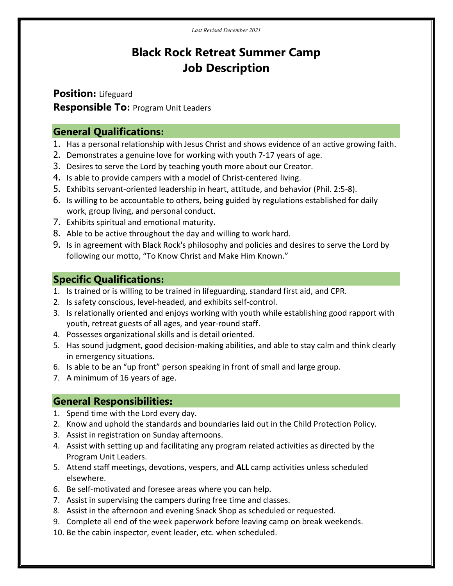# Black Rock Retreat Summer Camp Job Description

Position: Lifeguard **Responsible To: Program Unit Leaders** 

#### General Qualifications:

- 1. Has a personal relationship with Jesus Christ and shows evidence of an active growing faith.
- 2. Demonstrates a genuine love for working with youth 7-17 years of age.
- 3. Desires to serve the Lord by teaching youth more about our Creator.
- 4. Is able to provide campers with a model of Christ-centered living.
- 5. Exhibits servant-oriented leadership in heart, attitude, and behavior (Phil. 2:5-8).
- 6. Is willing to be accountable to others, being guided by regulations established for daily work, group living, and personal conduct.
- 7. Exhibits spiritual and emotional maturity.
- 8. Able to be active throughout the day and willing to work hard.
- 9. Is in agreement with Black Rock's philosophy and policies and desires to serve the Lord by following our motto, "To Know Christ and Make Him Known."

## Specific Qualifications:

- 1. Is trained or is willing to be trained in lifeguarding, standard first aid, and CPR.
- 2. Is safety conscious, level-headed, and exhibits self-control.
- 3. Is relationally oriented and enjoys working with youth while establishing good rapport with youth, retreat guests of all ages, and year-round staff.
- 4. Possesses organizational skills and is detail oriented.
- 5. Has sound judgment, good decision-making abilities, and able to stay calm and think clearly in emergency situations.
- 6. Is able to be an "up front" person speaking in front of small and large group.
- 7. A minimum of 16 years of age.

### General Responsibilities:

- 1. Spend time with the Lord every day.
- 2. Know and uphold the standards and boundaries laid out in the Child Protection Policy.
- 3. Assist in registration on Sunday afternoons.
- 4. Assist with setting up and facilitating any program related activities as directed by the Program Unit Leaders.
- 5. Attend staff meetings, devotions, vespers, and ALL camp activities unless scheduled elsewhere.
- 6. Be self-motivated and foresee areas where you can help.
- 7. Assist in supervising the campers during free time and classes.
- 8. Assist in the afternoon and evening Snack Shop as scheduled or requested.
- 9. Complete all end of the week paperwork before leaving camp on break weekends.
- 10. Be the cabin inspector, event leader, etc. when scheduled.